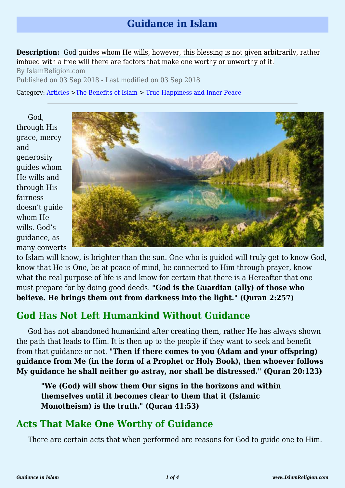## **Guidance in Islam**

**Description:** God guides whom He wills, however, this blessing is not given arbitrarily, rather imbued with a free will there are factors that make one worthy or unworthy of it.

By IslamReligion.com Published on 03 Sep 2018 - Last modified on 03 Sep 2018

Category: [Articles](http://www.islamreligion.com/articles/) >[The Benefits of Islam](http://www.islamreligion.com/category/43/) > [True Happiness and Inner Peace](http://www.islamreligion.com/category/104/)

God, through His grace, mercy and generosity guides whom He wills and through His fairness doesn't guide whom He wills. God's guidance, as many converts



to Islam will know, is brighter than the sun. One who is guided will truly get to know God, know that He is One, be at peace of mind, be connected to Him through prayer, know what the real purpose of life is and know for certain that there is a Hereafter that one must prepare for by doing good deeds. **"God is the Guardian (ally) of those who believe. He brings them out from darkness into the light." (Quran 2:257)**

## **God Has Not Left Humankind Without Guidance**

God has not abandoned humankind after creating them, rather He has always shown the path that leads to Him. It is then up to the people if they want to seek and benefit from that guidance or not. **"Then if there comes to you (Adam and your offspring) guidance from Me (in the form of a Prophet or Holy Book), then whoever follows My guidance he shall neither go astray, nor shall be distressed." (Quran 20:123)**

**"We (God) will show them Our signs in the horizons and within themselves until it becomes clear to them that it (Islamic Monotheism) is the truth." (Quran 41:53)**

## **Acts That Make One Worthy of Guidance**

There are certain acts that when performed are reasons for God to guide one to Him.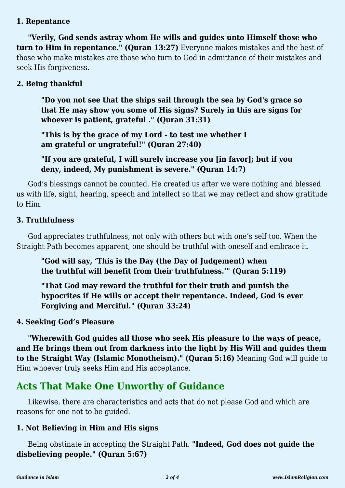### **1. Repentance**

**"Verily, God sends astray whom He wills and guides unto Himself those who turn to Him in repentance." (Quran 13:27)** Everyone makes mistakes and the best of those who make mistakes are those who turn to God in admittance of their mistakes and seek His forgiveness.

### **2. Being thankful**

**"Do you not see that the ships sail through the sea by God's grace so that He may show you some of His signs? Surely in this are signs for whoever is patient, grateful ." (Quran 31:31)**

**"This is by the grace of my Lord - to test me whether I am grateful or ungrateful!" (Quran 27:40)**

**"If you are grateful, I will surely increase you [in favor]; but if you deny, indeed, My punishment is severe." (Quran 14:7)**

God's blessings cannot be counted. He created us after we were nothing and blessed us with life, sight, hearing, speech and intellect so that we may reflect and show gratitude to Him.

#### **3. Truthfulness**

God appreciates truthfulness, not only with others but with one's self too. When the Straight Path becomes apparent, one should be truthful with oneself and embrace it.

**"God will say, 'This is the Day (the Day of Judgement) when the truthful will benefit from their truthfulness.'" (Quran 5:119)**

**"That God may reward the truthful for their truth and punish the hypocrites if He wills or accept their repentance. Indeed, God is ever Forgiving and Merciful." (Quran 33:24)**

#### **4. Seeking God's Pleasure**

**"Wherewith God guides all those who seek His pleasure to the ways of peace, and He brings them out from darkness into the light by His Will and guides them to the Straight Way (Islamic Monotheism)." (Quran 5:16)** Meaning God will guide to Him whoever truly seeks Him and His acceptance.

## **Acts That Make One Unworthy of Guidance**

Likewise, there are characteristics and acts that do not please God and which are reasons for one not to be guided.

### **1. Not Believing in Him and His signs**

Being obstinate in accepting the Straight Path. **"Indeed, God does not guide the disbelieving people." (Quran 5:67)**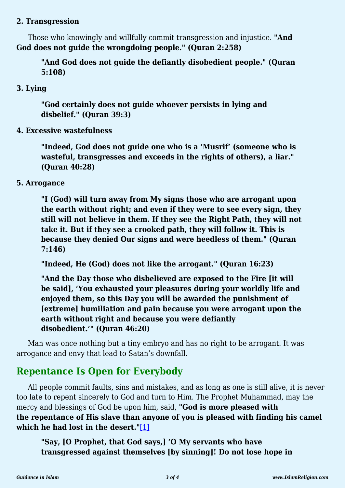#### **2. Transgression**

Those who knowingly and willfully commit transgression and injustice. **"And God does not guide the wrongdoing people." (Quran 2:258)**

**"And God does not guide the defiantly disobedient people." (Quran 5:108)** 

### **3. Lying**

**"God certainly does not guide whoever persists in lying and disbelief." (Quran 39:3)**

**4. Excessive wastefulness**

**"Indeed, God does not guide one who is a 'Musrif' (someone who is wasteful, transgresses and exceeds in the rights of others), a liar." (Quran 40:28)**

**5. Arrogance**

**"I (God) will turn away from My signs those who are arrogant upon the earth without right; and even if they were to see every sign, they still will not believe in them. If they see the Right Path, they will not take it. But if they see a crooked path, they will follow it. This is because they denied Our signs and were heedless of them." (Quran 7:146)**

**"Indeed, He (God) does not like the arrogant." (Quran 16:23)**

**"And the Day those who disbelieved are exposed to the Fire [it will be said], 'You exhausted your pleasures during your worldly life and enjoyed them, so this Day you will be awarded the punishment of [extreme] humiliation and pain because you were arrogant upon the earth without right and because you were defiantly disobedient.'" (Quran 46:20)**

Man was once nothing but a tiny embryo and has no right to be arrogant. It was arrogance and envy that lead to Satan's downfall.

# **Repentance Is Open for Everybody**

<span id="page-2-0"></span>All people commit faults, sins and mistakes, and as long as one is still alive, it is never too late to repent sincerely to God and turn to Him. The Prophet Muhammad, may the mercy and blessings of God be upon him, said, **"God is more pleased with the repentance of His slave than anyone of you is pleased with finding his camel which he had lost in the desert."**[\[1\]](#page-3-0)

**"Say, [O Prophet, that God says,] 'O My servants who have transgressed against themselves [by sinning]! Do not lose hope in**